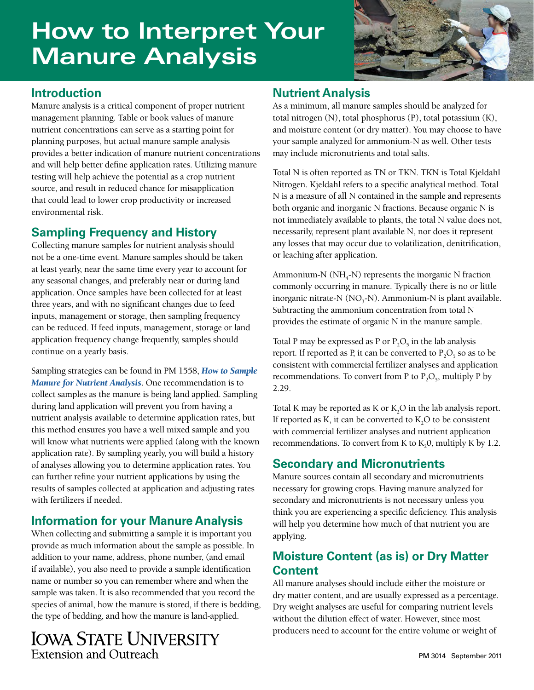# **How to Interpret Your Manure Analysis**



## **Introduction**

Manure analysis is a critical component of proper nutrient management planning. Table or book values of manure nutrient concentrations can serve as a starting point for planning purposes, but actual manure sample analysis provides a better indication of manure nutrient concentrations and will help better define application rates. Utilizing manure testing will help achieve the potential as a crop nutrient source, and result in reduced chance for misapplication that could lead to lower crop productivity or increased environmental risk.

### **Sampling Frequency and History**

Collecting manure samples for nutrient analysis should not be a one-time event. Manure samples should be taken at least yearly, near the same time every year to account for any seasonal changes, and preferably near or during land application. Once samples have been collected for at least three years, and with no significant changes due to feed inputs, management or storage, then sampling frequency can be reduced. If feed inputs, management, storage or land application frequency change frequently, samples should continue on a yearly basis.

Sampling strategies can be found in PM 1558, *[How to Sample](http://www.extension.iastate.edu/Publications/PM1558.pdf)  [Manure for Nutrient Analysis](http://www.extension.iastate.edu/Publications/PM1558.pdf)*. One recommendation is to collect samples as the manure is being land applied. Sampling during land application will prevent you from having a nutrient analysis available to determine application rates, but this method ensures you have a well mixed sample and you will know what nutrients were applied (along with the known application rate). By sampling yearly, you will build a history of analyses allowing you to determine application rates. You can further refine your nutrient applications by using the results of samples collected at application and adjusting rates with fertilizers if needed.

# **Information for your Manure Analysis**

When collecting and submitting a sample it is important you provide as much information about the sample as possible. In addition to your name, address, phone number, (and email if available), you also need to provide a sample identification name or number so you can remember where and when the sample was taken. It is also recommended that you record the species of animal, how the manure is stored, if there is bedding, the type of bedding, and how the manure is land-applied.

# **IOWA STATE UNIVERSITY Extension and Outreach**

### **Nutrient Analysis**

As a minimum, all manure samples should be analyzed for total nitrogen (N), total phosphorus (P), total potassium (K), and moisture content (or dry matter). You may choose to have your sample analyzed for ammonium-N as well. Other tests may include micronutrients and total salts.

Total N is often reported as TN or TKN. TKN is Total Kjeldahl Nitrogen. Kjeldahl refers to a specific analytical method. Total N is a measure of all N contained in the sample and represents both organic and inorganic N fractions. Because organic N is not immediately available to plants, the total N value does not, necessarily, represent plant available N, nor does it represent any losses that may occur due to volatilization, denitrification, or leaching after application.

Ammonium-N ( $NH<sub>4</sub>$ -N) represents the inorganic N fraction commonly occurring in manure. Typically there is no or little inorganic nitrate-N  $(NO<sub>3</sub>-N)$ . Ammonium-N is plant available. Subtracting the ammonium concentration from total N provides the estimate of organic N in the manure sample.

Total P may be expressed as P or  $P_2O_5$  in the lab analysis report. If reported as P, it can be converted to  $P_2O_5$  so as to be consistent with commercial fertilizer analyses and application recommendations. To convert from P to  $P_2O_5$ , multiply P by 2.29.

Total K may be reported as K or  $K_2O$  in the lab analysis report. If reported as  $K$ , it can be converted to  $K$ , $O$  to be consistent with commercial fertilizer analyses and nutrient application recommendations. To convert from K to  $K_2$ 0, multiply K by 1.2.

# **Secondary and Micronutrients**

Manure sources contain all secondary and micronutrients necessary for growing crops. Having manure analyzed for secondary and micronutrients is not necessary unless you think you are experiencing a specific deficiency. This analysis will help you determine how much of that nutrient you are applying.

### **Moisture Content (as is) or Dry Matter Content**

All manure analyses should include either the moisture or dry matter content, and are usually expressed as a percentage. Dry weight analyses are useful for comparing nutrient levels without the dilution effect of water. However, since most producers need to account for the entire volume or weight of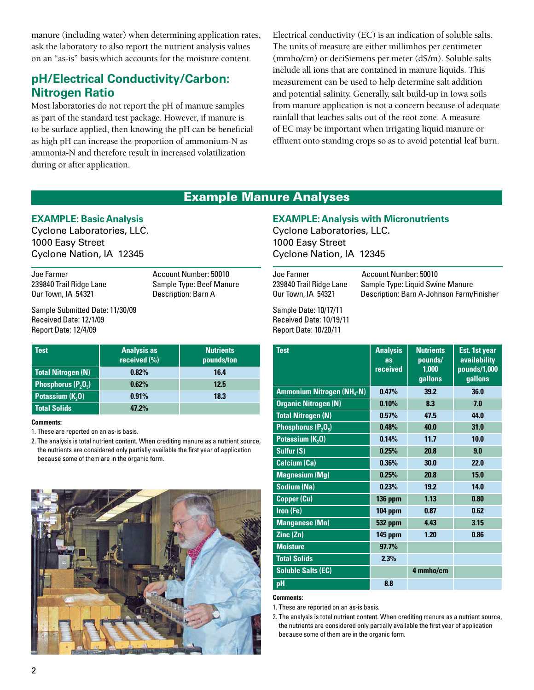manure (including water) when determining application rates, ask the laboratory to also report the nutrient analysis values on an "as-is" basis which accounts for the moisture content.

### **pH/Electrical Conductivity/Carbon: Nitrogen Ratio**

Most laboratories do not report the pH of manure samples as part of the standard test package. However, if manure is to be surface applied, then knowing the pH can be beneficial as high pH can increase the proportion of ammonium-N as ammonia-N and therefore result in increased volatilization during or after application.

Electrical conductivity (EC) is an indication of soluble salts. The units of measure are either millimhos per centimeter (mmho/cm) or deciSiemens per meter (dS/m). Soluble salts include all ions that are contained in manure liquids. This measurement can be used to help determine salt addition and potential salinity. Generally, salt build-up in Iowa soils from manure application is not a concern because of adequate rainfall that leaches salts out of the root zone. A measure of EC may be important when irrigating liquid manure or effluent onto standing crops so as to avoid potential leaf burn.

### Example Manure Analyses

### **EXAMPLE: Basic Analysis**

Cyclone Laboratories, LLC. 1000 Easy Street Cyclone Nation, IA 12345

Joe Farmer **Account Number: 50010** Our Town, IA 54321 Description: Barn A

239840 Trail Ridge Lane Sample Type: Beef Manure

Sample Submitted Date: 11/30/09 Received Date: 12/1/09 Report Date: 12/4/09

| Test                         | <b>Analysis as</b><br>received (%) | <b>Nutrients</b><br>pounds/ton |
|------------------------------|------------------------------------|--------------------------------|
| <b>Total Nitrogen (N)</b>    | 0.82%                              | 16.4                           |
| Phosphorus $(P_2O_5)$        | 0.62%                              | 12.5                           |
| Potassium (K <sub>2</sub> O) | 0.91%                              | 18.3                           |
| <b>Total Solids</b>          | 47.2%                              |                                |

#### **Comments:**

1. These are reported on an as-is basis.

2. The analysis is total nutrient content. When crediting manure as a nutrient source, the nutrients are considered only partially available the first year of application because some of them are in the organic form.



### **EXAMPLE: Analysis with Micronutrients**

Cyclone Laboratories, LLC. 1000 Easy Street Cyclone Nation, IA 12345

Joe Farmer **Account Number: 50010**<br>239840 Trail Ridge Lane Sample Type: Liquid Swii Sample Type: Liquid Swine Manure Our Town, IA 54321 Description: Barn A-Johnson Farm/Finisher

Sample Date: 10/17/11 Received Date: 10/19/11 Report Date: 10/20/11

| <b>Test</b>                                 | <b>Analysis</b><br>as<br>received | <b>Nutrients</b><br>pounds/<br>1,000<br>gallons | <b>Est. 1st year</b><br><b>availability</b><br>pounds/1,000<br>gallons |
|---------------------------------------------|-----------------------------------|-------------------------------------------------|------------------------------------------------------------------------|
| <b>Ammonium Nitrogen (NH<sub>a</sub>-N)</b> | 0.47%                             | 39.2                                            | 36.0                                                                   |
| <b>Organic Nitrogen (N)</b>                 | 0.10%                             | 8.3                                             | 7.0                                                                    |
| <b>Total Nitrogen (N)</b>                   | 0.57%                             | 47.5                                            | 44.0                                                                   |
| Phosphorus $(P_2O_5)$                       | 0.48%                             | 40.0                                            | 31.0                                                                   |
| Potassium (K <sub>2</sub> O)                | 0.14%                             | 11.7                                            | 10.0                                                                   |
| Sulfur (S)                                  | 0.25%                             | 20.8                                            | 9.0                                                                    |
| <b>Calcium (Ca)</b>                         | 0.36%                             | 30.0                                            | 22.0                                                                   |
| <b>Magnesium (Mg)</b>                       | 0.25%                             | 20.8                                            | 15.0                                                                   |
| <b>Sodium (Na)</b>                          | 0.23%                             | 19.2                                            | 14.0                                                                   |
| Copper (Cu)                                 | <b>136 ppm</b>                    | 1.13                                            | 0.80                                                                   |
| Iron (Fe)                                   | 104 ppm                           | 0.87                                            | 0.62                                                                   |
| <b>Manganese (Mn)</b>                       | <b>532 ppm</b>                    | 4.43                                            | 3.15                                                                   |
| Zinc (Zn)                                   | <b>145 ppm</b>                    | 1.20                                            | 0.86                                                                   |
| <b>Moisture</b>                             | 97.7%                             |                                                 |                                                                        |
| <b>Total Solids</b>                         | 2.3%                              |                                                 |                                                                        |
| <b>Soluble Salts (EC)</b>                   |                                   | 4 mmho/cm                                       |                                                                        |
| pH                                          | 8.8                               |                                                 |                                                                        |

#### **Comments:**

1. These are reported on an as-is basis.

2. The analysis is total nutrient content. When crediting manure as a nutrient source, the nutrients are considered only partially available the first year of application because some of them are in the organic form.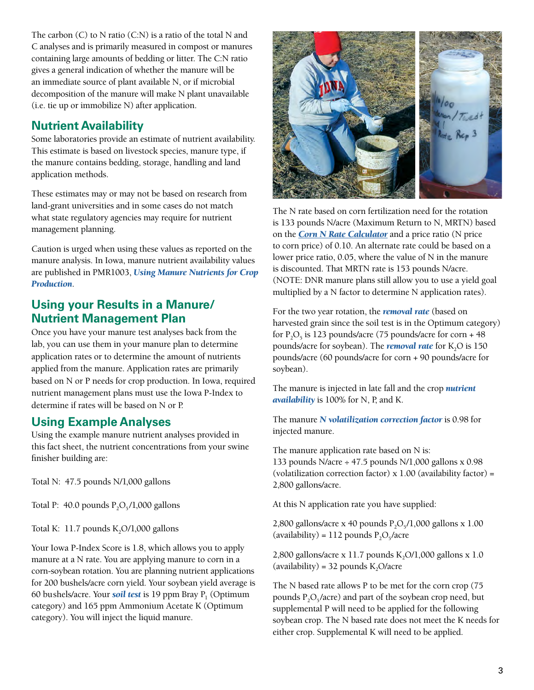The carbon (C) to N ratio (C:N) is a ratio of the total N and C analyses and is primarily measured in compost or manures containing large amounts of bedding or litter. The C:N ratio gives a general indication of whether the manure will be an immediate source of plant available N, or if microbial decomposition of the manure will make N plant unavailable (i.e. tie up or immobilize N) after application.

# **Nutrient Availability**

Some laboratories provide an estimate of nutrient availability. This estimate is based on livestock species, manure type, if the manure contains bedding, storage, handling and land application methods.

These estimates may or may not be based on research from land-grant universities and in some cases do not match what state regulatory agencies may require for nutrient management planning.

Caution is urged when using these values as reported on the manure analysis. In Iowa, manure nutrient availability values are published in PMR1003, *[Using Manure Nutrients for Crop](http://www.extension.iastate.edu/Publications/PMR1003.pdf)  [Production](http://www.extension.iastate.edu/Publications/PMR1003.pdf)*.

### **Using your Results in a Manure/ Nutrient Management Plan**

Once you have your manure test analyses back from the lab, you can use them in your manure plan to determine application rates or to determine the amount of nutrients applied from the manure. Application rates are primarily based on N or P needs for crop production. In Iowa, required nutrient management plans must use the Iowa P-Index to determine if rates will be based on N or P.

### **Using Example Analyses**

Using the example manure nutrient analyses provided in this fact sheet, the nutrient concentrations from your swine finisher building are:

Total N: 47.5 pounds N/1,000 gallons

Total P: 40.0 pounds  $P_2O_5/1,000$  gallons

Total K:  $11.7$  pounds K<sub>2</sub>O/1,000 gallons

Your Iowa P-Index Score is 1.8, which allows you to apply manure at a N rate. You are applying manure to corn in a corn-soybean rotation. You are planning nutrient applications for 200 bushels/acre corn yield. Your soybean yield average is 60 bushels/acre. Your **[soil test](http://www.extension.iastate.edu/Publications/PM1688.pdf)** is 19 ppm Bray  $P_1$  (Optimum category) and 165 ppm Ammonium Acetate K (Optimum category). You will inject the liquid manure.



The N rate based on corn fertilization need for the rotation is 133 pounds N/acre (Maximum Return to N, MRTN) based on the *[Corn N Rate Calculator](http://cnrc.agron.iastate.edu/)* and a price ratio (N price to corn price) of 0.10. An alternate rate could be based on a lower price ratio, 0.05, where the value of N in the manure is discounted. That MRTN rate is 153 pounds N/acre. (NOTE: DNR manure plans still allow you to use a yield goal multiplied by a N factor to determine N application rates).

For the two year rotation, the *[removal rate](http://www.extension.iastate.edu/Publications/PM1688.pdf)* (based on harvested grain since the soil test is in the Optimum category) for  $P_2O_5$  is 123 pounds/acre (75 pounds/acre for corn + 48 pounds/acre for soybean). The *[removal rate](http://www.extension.iastate.edu/Publications/PM1688.pdf)* for K<sub>2</sub>O is 150 pounds/acre (60 pounds/acre for corn + 90 pounds/acre for soybean).

The manure is injected in late fall and the crop *[nutrient](http://www.extension.iastate.edu/Publications/PMR1003.pdf)  [availability](http://www.extension.iastate.edu/Publications/PMR1003.pdf)* is 100% for N, P, and K.

The manure *[N volatilization correction factor](http://www.extension.iastate.edu/Publications/PMR1003.pdf)* is 0.98 for injected manure.

The manure application rate based on N is: 133 pounds N/acre ÷ 47.5 pounds N/1,000 gallons x 0.98 (volatilization correction factor)  $x 1.00$  (availability factor) = 2,800 gallons/acre.

At this N application rate you have supplied:

2,800 gallons/acre x 40 pounds  $P_2O_5/1,000$  gallons x 1.00 (availability) = 112 pounds  $P_2O_5/acre$ 

2,800 gallons/acre x 11.7 pounds  $K_2O/1,000$  gallons x 1.0 (availability) = 32 pounds  $K_2O/(\text{acc})$ 

The N based rate allows P to be met for the corn crop (75 pounds  $P_2O_5/acre$ ) and part of the soybean crop need, but supplemental P will need to be applied for the following soybean crop. The N based rate does not meet the K needs for either crop. Supplemental K will need to be applied.